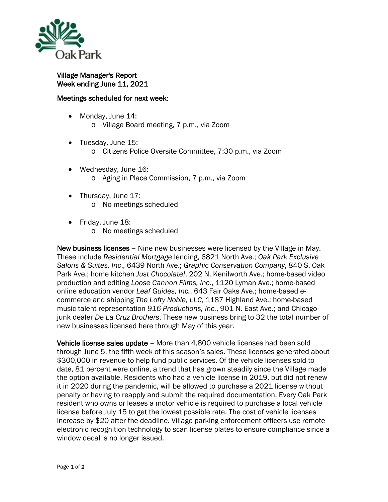

Village Manager's Report Week ending June 11, 2021

## Meetings scheduled for next week:

- Monday, June 14: o Village Board meeting, 7 p.m., via Zoom
- Tuesday, June 15:
	- o Citizens Police Oversite Committee, 7:30 p.m., via Zoom
- Wednesday, June 16: o Aging in Place Commission, 7 p.m., via Zoom
- Thursday, June 17: o No meetings scheduled
- Friday, June 18:
	- o No meetings scheduled

New business licenses – Nine new businesses were licensed by the Village in May. These include *Residential Mortgage* lending, 6821 North Ave.; *Oak Park Exclusive Salons & Suites, Inc*., 6439 North Ave.; *Graphic Conservation Company*, 840 S. Oak Park Ave.; home kitchen *Just Chocolate!*, 202 N. Kenilworth Ave.; home-based video production and editing *Loose Cannon Films, Inc.*, 1120 Lyman Ave.; home-based online education vendor *Leaf Guides, Inc.*, 643 Fair Oaks Ave.; home-based ecommerce and shipping *The Lofty Noble, LLC*, 1187 Highland Ave.; home-based music talent representation *916 Productions, Inc.*, 901 N. East Ave.; and Chicago junk dealer *De La Cruz Brothers*. These new business bring to 32 the total number of new businesses licensed here through May of this year.

Vehicle license sales update – More than 4,800 vehicle licenses had been sold through June 5, the fifth week of this season's sales. These licenses generated about \$300,000 in revenue to help fund public services. Of the vehicle licenses sold to date, 81 percent were online, a trend that has grown steadily since the Village made the option available. Residents who had a vehicle license in 2019, but did not renew it in 2020 during the pandemic, will be allowed to purchase a 2021 license without penalty or having to reapply and submit the required documentation. Every Oak Park resident who owns or leases a motor vehicle is required to purchase a local vehicle license before July 15 to get the lowest possible rate. The cost of vehicle licenses increase by \$20 after the deadline. Village parking enforcement officers use remote electronic recognition technology to scan license plates to ensure compliance since a window decal is no longer issued.